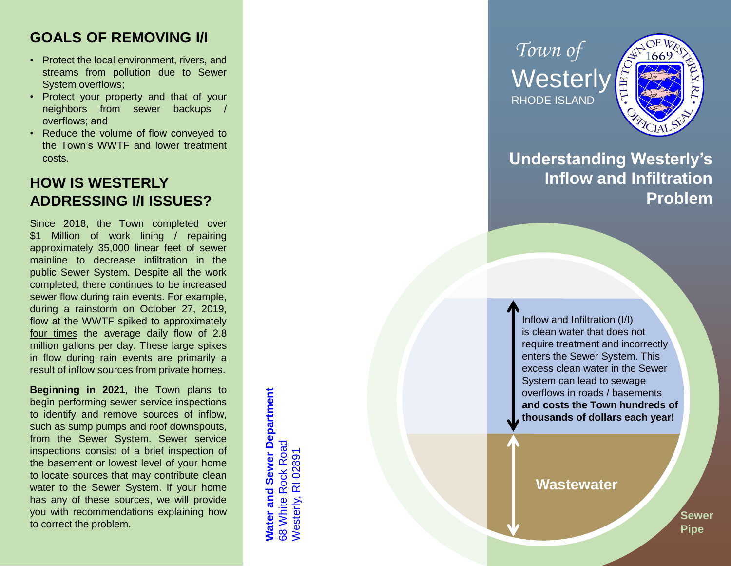#### **GOALS OF REMOVING I/I**

- Protect the local environment, rivers, and streams from pollution due to Sewer System overflows ;
- Protect your property and that of your neighbors from sewer backups / overflows ; and
- Reduce the volume of flow conveyed to the Town's WWTF and lower treatment costs .

## **HOW IS WESTERLY ADDRESSING I/I ISSUES?**

Since 2018 , the Town completed over \$ 1 Million of work lining / repairing approximately 35 ,000 linear feet of sewer mainline to decrease infiltration in the public Sewer System . Despite all the work completed, there continues to be increased sewer flow during rain events . For example, during a rainstorm on October 27 , 2019 , flow at the WWTF spiked to approximately four times the average daily flow of 2.8 million gallons per day . These large spikes in flow during rain events are primarily a result of inflow sources from private homes .

**Beginning in 2021** , the Town plans to begin performing sewer service inspections to identify and remove sources of inflow, such as sump pumps and roof downspouts, from the Sewer System . Sewer service inspections consist of a brief inspection of the basement or lowest level of your home to locate sources that may contribute clean water to the Sewer System . If your home has any of these sources, we will provide you with recommendations explaining how to correct the problem .

**Nater and Sewer Department Water and Sewer Department 68 White Rock Road** 68 White Rock Road Westerly, RI 02891 Westerly, RI 02891

*Town of* **Westerly** RHODE ISLAND



# **Understanding Westerly's Inflow and Infiltration Problem**

Inflow and Infiltration (I/I) is clean water that does not require treatment and incorrectly enters the Sewer System. This excess clean water in the Sewer System can lead to sewage overflows in roads / basements **and costs the Town hundreds of thousands of dollars each year!** 

**Wastewater**

**Sewer Pipe**